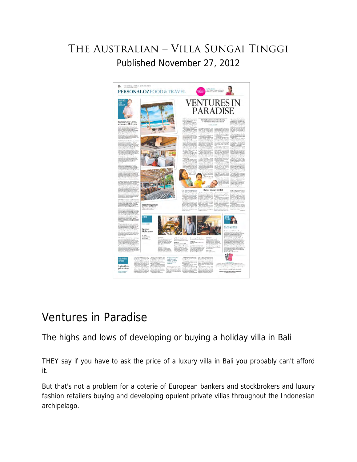## The Australian – Villa Sungai Tinggi Published November 27, 2012



## Ventures in Paradise

The highs and lows of developing or buying a holiday villa in Bali

THEY say if you have to ask the price of a luxury villa in Bali you probably can't afford it.

But that's not a problem for a coterie of European bankers and stockbrokers and luxury fashion retailers buying and developing opulent private villas throughout the Indonesian archipelago.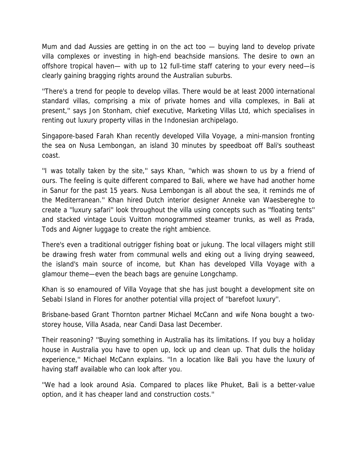Mum and dad Aussies are getting in on the act too — buying land to develop private villa complexes or investing in high-end beachside mansions. The desire to own an offshore tropical haven— with up to 12 full-time staff catering to your every need—is clearly gaining bragging rights around the Australian suburbs.

''There's a trend for people to develop villas. There would be at least 2000 international standard villas, comprising a mix of private homes and villa complexes, in Bali at present,'' says Jon Stonham, chief executive, Marketing Villas Ltd, which specialises in renting out luxury property villas in the Indonesian archipelago.

Singapore-based Farah Khan recently developed Villa Voyage, a mini-mansion fronting the sea on Nusa Lembongan, an island 30 minutes by speedboat off Bali's southeast coast.

''I was totally taken by the site,'' says Khan, ''which was shown to us by a friend of ours. The feeling is quite different compared to Bali, where we have had another home in Sanur for the past 15 years. Nusa Lembongan is all about the sea, it reminds me of the Mediterranean.'' Khan hired Dutch interior designer Anneke van Waesbereghe to create a ''luxury safari'' look throughout the villa using concepts such as ''floating tents'' and stacked vintage Louis Vuitton monogrammed steamer trunks, as well as Prada, Tods and Aigner luggage to create the right ambience.

There's even a traditional outrigger fishing boat or jukung. The local villagers might still be drawing fresh water from communal wells and eking out a living drying seaweed, the island's main source of income, but Khan has developed Villa Voyage with a glamour theme—even the beach bags are genuine Longchamp.

Khan is so enamoured of Villa Voyage that she has just bought a development site on Sebabi Island in Flores for another potential villa project of ''barefoot luxury''.

Brisbane-based Grant Thornton partner Michael McCann and wife Nona bought a twostorey house, Villa Asada, near Candi Dasa last December.

Their reasoning? ''Buying something in Australia has its limitations. If you buy a holiday house in Australia you have to open up, lock up and clean up. That dulls the holiday experience,'' Michael McCann explains. ''In a location like Bali you have the luxury of having staff available who can look after you.

''We had a look around Asia. Compared to places like Phuket, Bali is a better-value option, and it has cheaper land and construction costs.''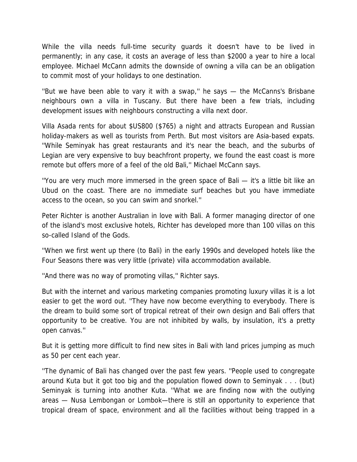While the villa needs full-time security guards it doesn't have to be lived in permanently; in any case, it costs an average of less than \$2000 a year to hire a local employee. Michael McCann admits the downside of owning a villa can be an obligation to commit most of your holidays to one destination.

''But we have been able to vary it with a swap,'' he says — the McCanns's Brisbane neighbours own a villa in Tuscany. But there have been a few trials, including development issues with neighbours constructing a villa next door.

Villa Asada rents for about \$US800 (\$765) a night and attracts European and Russian holiday-makers as well as tourists from Perth. But most visitors are Asia-based expats. ''While Seminyak has great restaurants and it's near the beach, and the suburbs of Legian are very expensive to buy beachfront property, we found the east coast is more remote but offers more of a feel of the old Bali,'' Michael McCann says.

''You are very much more immersed in the green space of Bali — it's a little bit like an Ubud on the coast. There are no immediate surf beaches but you have immediate access to the ocean, so you can swim and snorkel.''

Peter Richter is another Australian in love with Bali. A former managing director of one of the island's most exclusive hotels, Richter has developed more than 100 villas on this so-called Island of the Gods.

''When we first went up there (to Bali) in the early 1990s and developed hotels like the Four Seasons there was very little (private) villa accommodation available.

"And there was no way of promoting villas," Richter says.

But with the internet and various marketing companies promoting luxury villas it is a lot easier to get the word out. ''They have now become everything to everybody. There is the dream to build some sort of tropical retreat of their own design and Bali offers that opportunity to be creative. You are not inhibited by walls, by insulation, it's a pretty open canvas.''

But it is getting more difficult to find new sites in Bali with land prices jumping as much as 50 per cent each year.

''The dynamic of Bali has changed over the past few years. ''People used to congregate around Kuta but it got too big and the population flowed down to Seminyak . . . (but) Seminyak is turning into another Kuta. ''What we are finding now with the outlying areas — Nusa Lembongan or Lombok—there is still an opportunity to experience that tropical dream of space, environment and all the facilities without being trapped in a